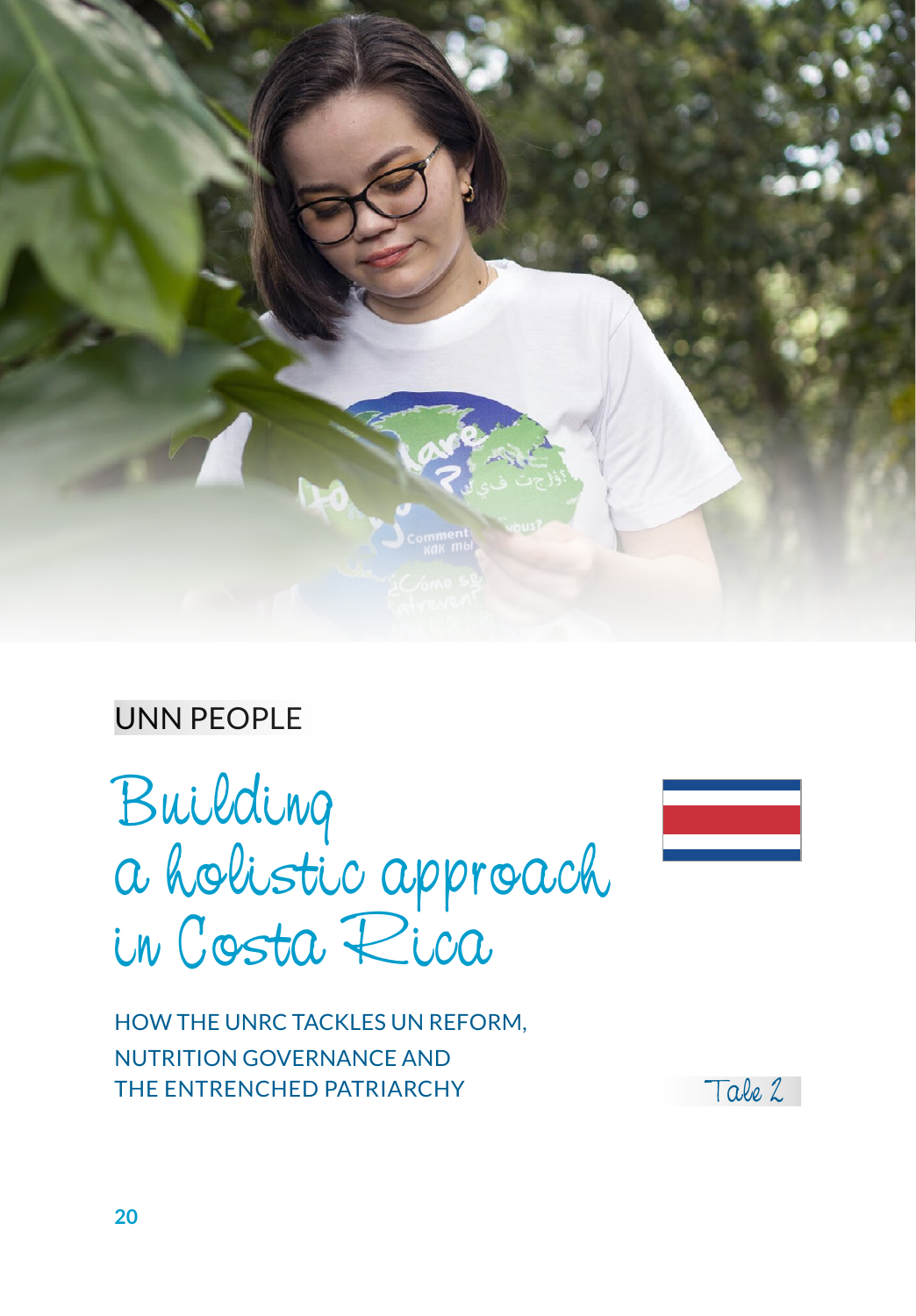

# UNN PEOPLE

Building a holistic approach in Costa Rica



HOW THE UNRC TACKLES UN REFORM, NUTRITION GOVERNANCE AND THE ENTRENCHED PATRIARCHY THE ENTRENCHED PATRIARCHY

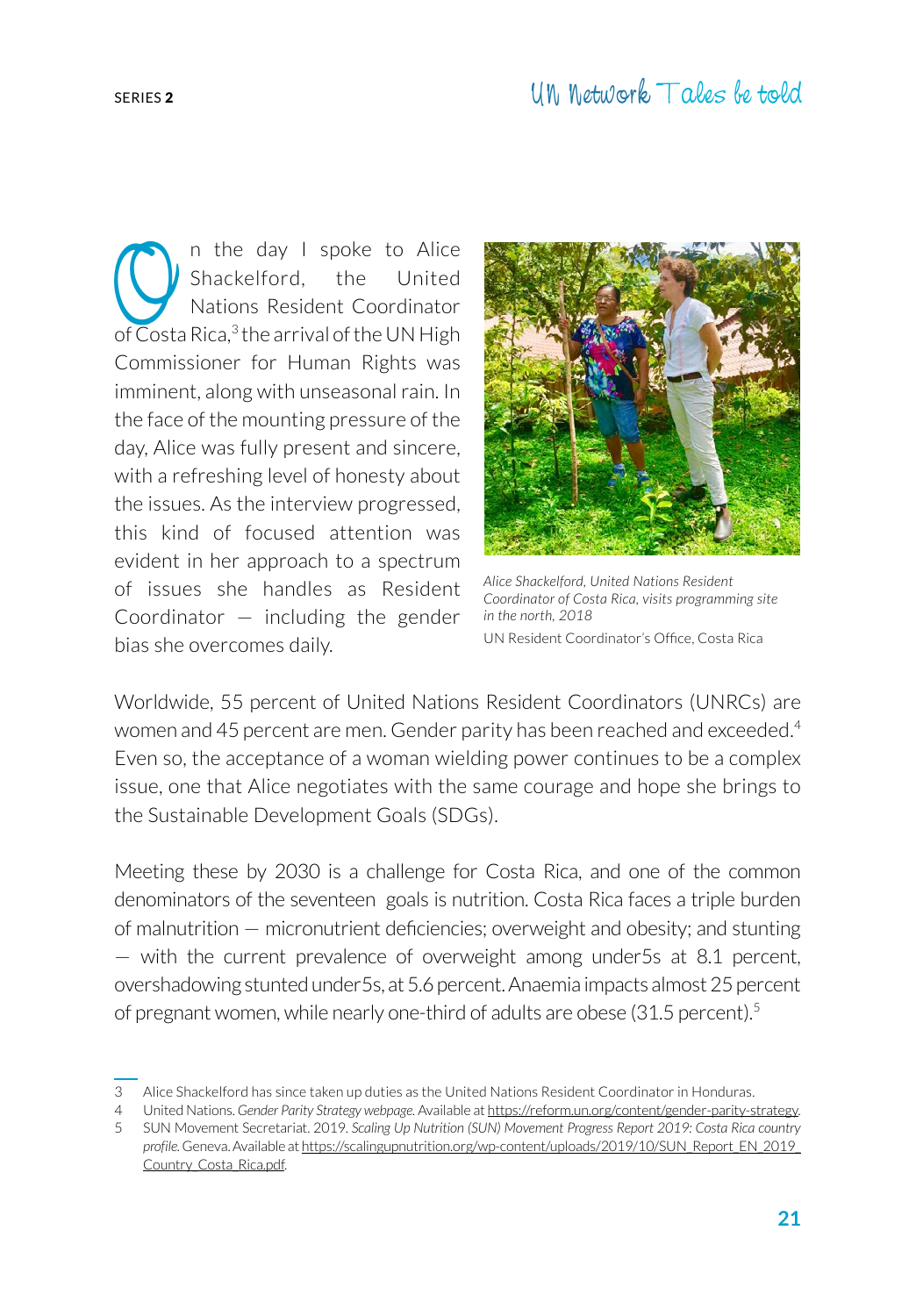The day I spoke to Alice<br>Shackelford, the United<br>Nations Resident Coordinator<br>of Costa Rica <sup>3</sup> the arrival of the UN High Shackelford, the United Nations Resident Coordinator of  $\overline{\text{Cost}}$ a Rica, $^3$  the arrival of the UN High

Commissioner for Human Rights was imminent, along with unseasonal rain. In the face of the mounting pressure of the day, Alice was fully present and sincere, with a refreshing level of honesty about the issues. As the interview progressed, this kind of focused attention was evident in her approach to a spectrum of issues she handles as Resident Coordinator  $-$  including the gender bias she overcomes daily.



*Alice Shackelford, United Nations Resident Coordinator of Costa Rica, visits programming site in the north, 2018* UN Resident Coordinator's Office, Costa Rica

Worldwide, 55 percent of United Nations Resident Coordinators (UNRCs) are women and 45 percent are men. Gender parity has been reached and exceeded.<sup>4</sup> Even so, the acceptance of a woman wielding power continues to be a complex issue, one that Alice negotiates with the same courage and hope she brings to the Sustainable Development Goals (SDGs).

Meeting these by 2030 is a challenge for Costa Rica, and one of the common denominators of the seventeen goals is nutrition. Costa Rica faces a triple burden of malnutrition — micronutrient deficiencies; overweight and obesity; and stunting — with the current prevalence of overweight among under5s at 8.1 percent, overshadowing stunted under5s, at 5.6 percent. Anaemia impacts almost 25 percent of pregnant women, while nearly one-third of adults are obese (31.5 percent).<sup>5</sup>

<sup>3</sup> Alice Shackelford has since taken up duties as the United Nations Resident Coordinator in Honduras.

<sup>4</sup> United Nations. *Gender Parity Strategy webpage.* Available at https://reform.un.org/content/gender-parity-strategy.

<sup>5</sup> SUN Movement Secretariat. 2019. *Scaling Up Nutrition (SUN) Movement Progress Report 2019: Costa Rica country profile.* Geneva. Available at [https://scalingupnutrition.org/wp-content/uploads/2019/10/SUN\\_Report\\_EN\\_2019\\_](https://scalingupnutrition.org/wp-content/uploads/2019/10/SUN_Report_EN_2019_Country_Costa_Rica.pdf) [Country\\_Costa\\_Rica.pdf.](https://scalingupnutrition.org/wp-content/uploads/2019/10/SUN_Report_EN_2019_Country_Costa_Rica.pdf)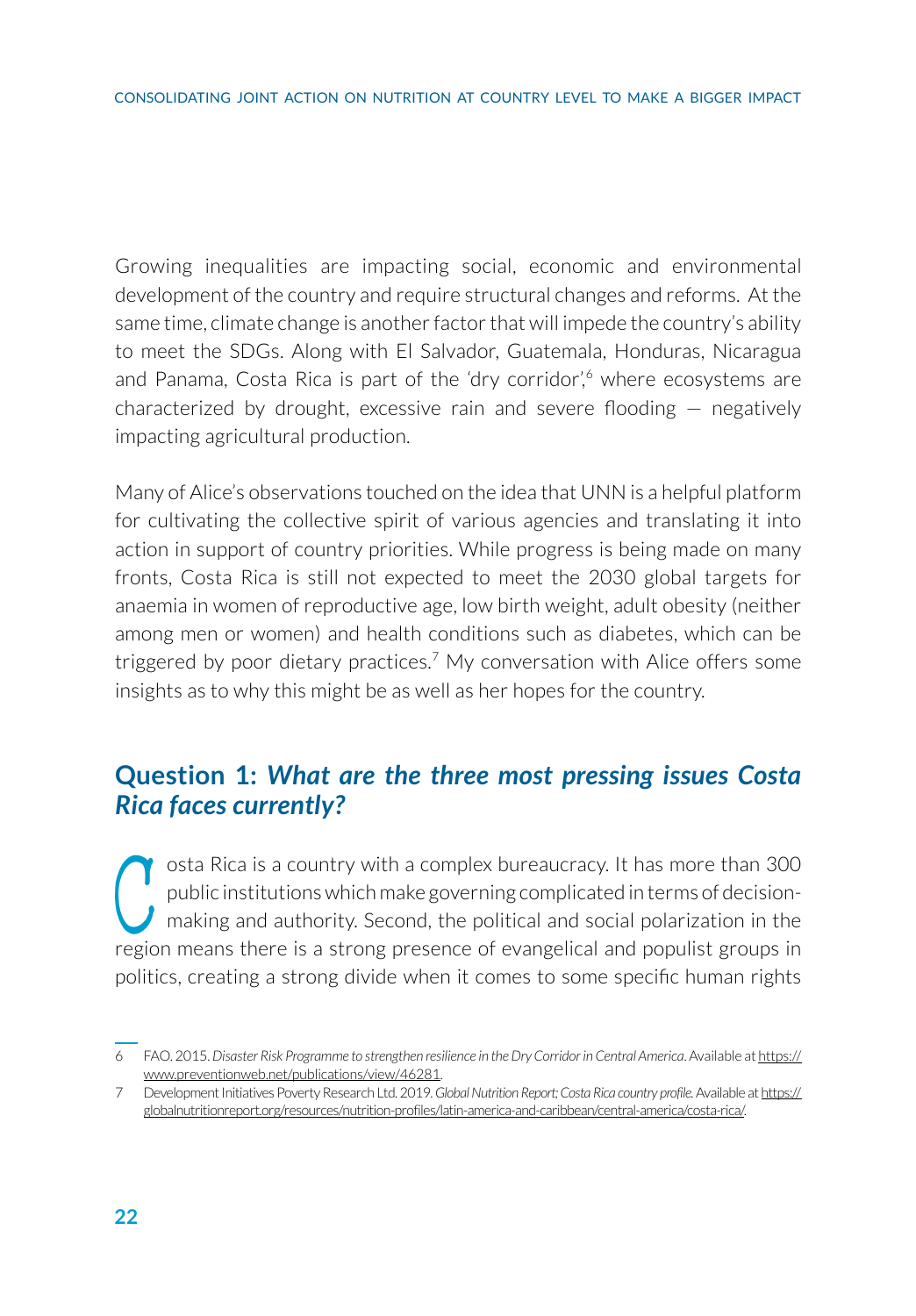Growing inequalities are impacting social, economic and environmental development of the country and require structural changes and reforms. At the same time, climate change is another factor that will impede the country's ability to meet the SDGs. Along with El Salvador, Guatemala, Honduras, Nicaragua and Panama, Costa Rica is part of the 'dry corridor',<sup>6</sup> where ecosystems are characterized by drought, excessive rain and severe flooding — negatively impacting agricultural production.

Many of Alice's observations touched on the idea that UNN is a helpful platform for cultivating the collective spirit of various agencies and translating it into action in support of country priorities. While progress is being made on many fronts, Costa Rica is still not expected to meet the 2030 global targets for anaemia in women of reproductive age, low birth weight, adult obesity (neither among men or women) and health conditions such as diabetes, which can be triggered by poor dietary practices.<sup>7</sup> My conversation with Alice offers some insights as to why this might be as well as her hopes for the country.

#### **Question 1:** *What are the three most pressing issues Costa Rica faces currently?*

osta Rica is a country with a complex bureaucracy. It has more than 300 public institutions which make governing complicated in terms of decision-<br>making and authority. Second, the political and social polarization in the osta Rica is a country with a complex bureaucracy. It has more than 300 public institutions which make governing complicated in terms of decisionmaking and authority. Second, the political and social polarization in the politics, creating a strong divide when it comes to some specific human rights

<sup>6</sup> FAO. 2015. *Disaster Risk Programme to strengthen resilience in the Dry Corridor in Central America*. Available at https:// www.preventionweb.net/publications/view/46281.

<sup>7</sup> Development Initiatives Poverty Research Ltd. 2019. *Global Nutrition Report; Costa Rica country profile.* Available at https:// globalnutritionreport.org/resources/nutrition-profiles/latin-america-and-caribbean/central-america/costa-rica/.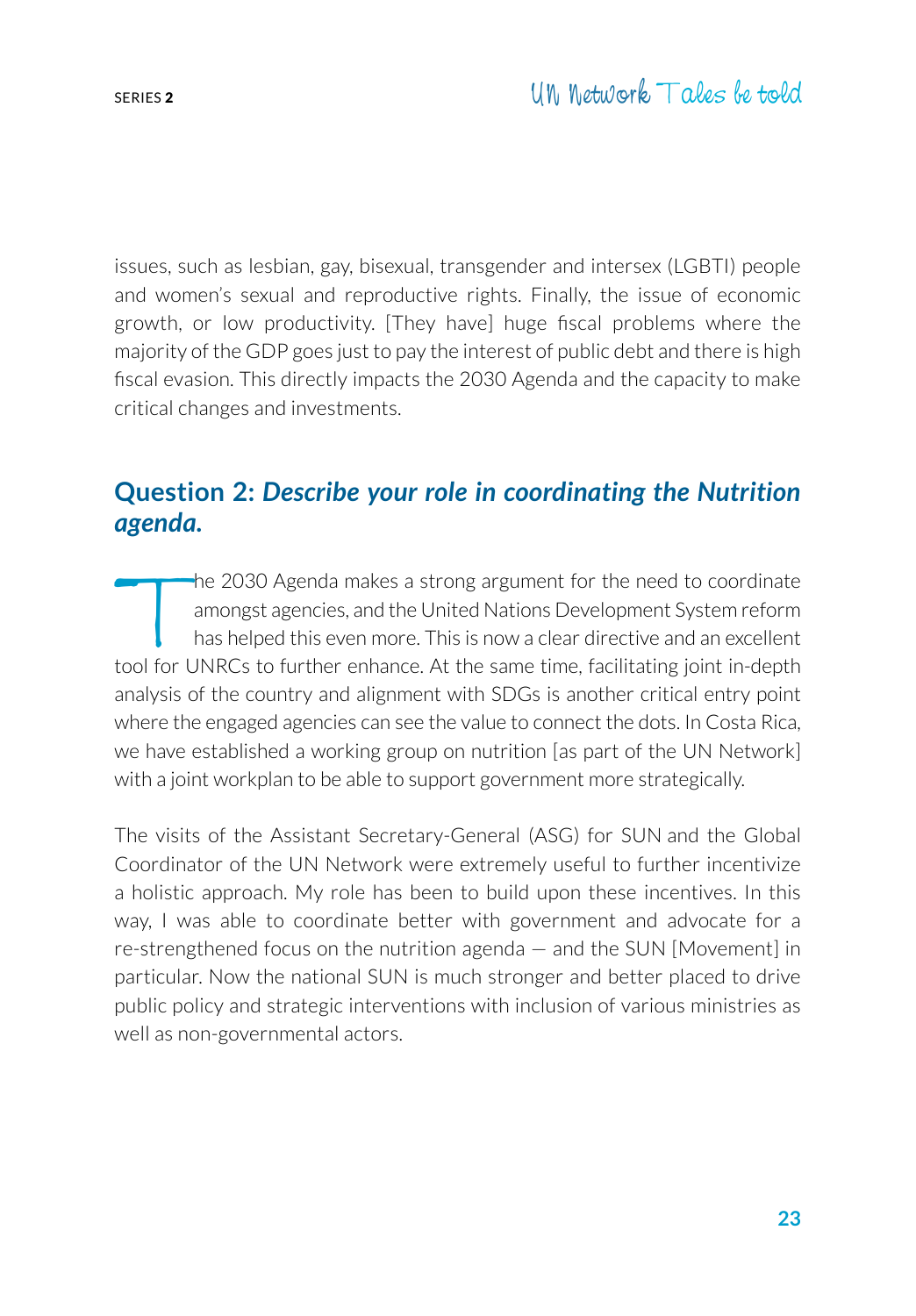issues, such as lesbian, gay, bisexual, transgender and intersex (LGBTI) people and women's sexual and reproductive rights. Finally, the issue of economic growth, or low productivity. [They have] huge fiscal problems where the majority of the GDP goes just to pay the interest of public debt and there is high fiscal evasion. This directly impacts the 2030 Agenda and the capacity to make critical changes and investments.

### **Question 2:** *Describe your role in coordinating the Nutrition agenda.*

The 2030 Agenda makes a strong argument for the need to coordinate<br>amongst agencies, and the United Nations Development System reform<br>has helped this even more. This is now a clear directive and an excellent<br>cool for UNRCs amongst agencies, and the United Nations Development System reform has helped this even more. This is now a clear directive and an excellent tool for UNRCs to further enhance. At the same time, facilitating joint in-depth analysis of the country and alignment with SDGs is another critical entry point where the engaged agencies can see the value to connect the dots. In Costa Rica, we have established a working group on nutrition [as part of the UN Network] with a joint workplan to be able to support government more strategically.

The visits of the Assistant Secretary-General (ASG) for SUN and the Global Coordinator of the UN Network were extremely useful to further incentivize a holistic approach. My role has been to build upon these incentives. In this way, I was able to coordinate better with government and advocate for a re-strengthened focus on the nutrition agenda — and the SUN [Movement] in particular. Now the national SUN is much stronger and better placed to drive public policy and strategic interventions with inclusion of various ministries as well as non-governmental actors.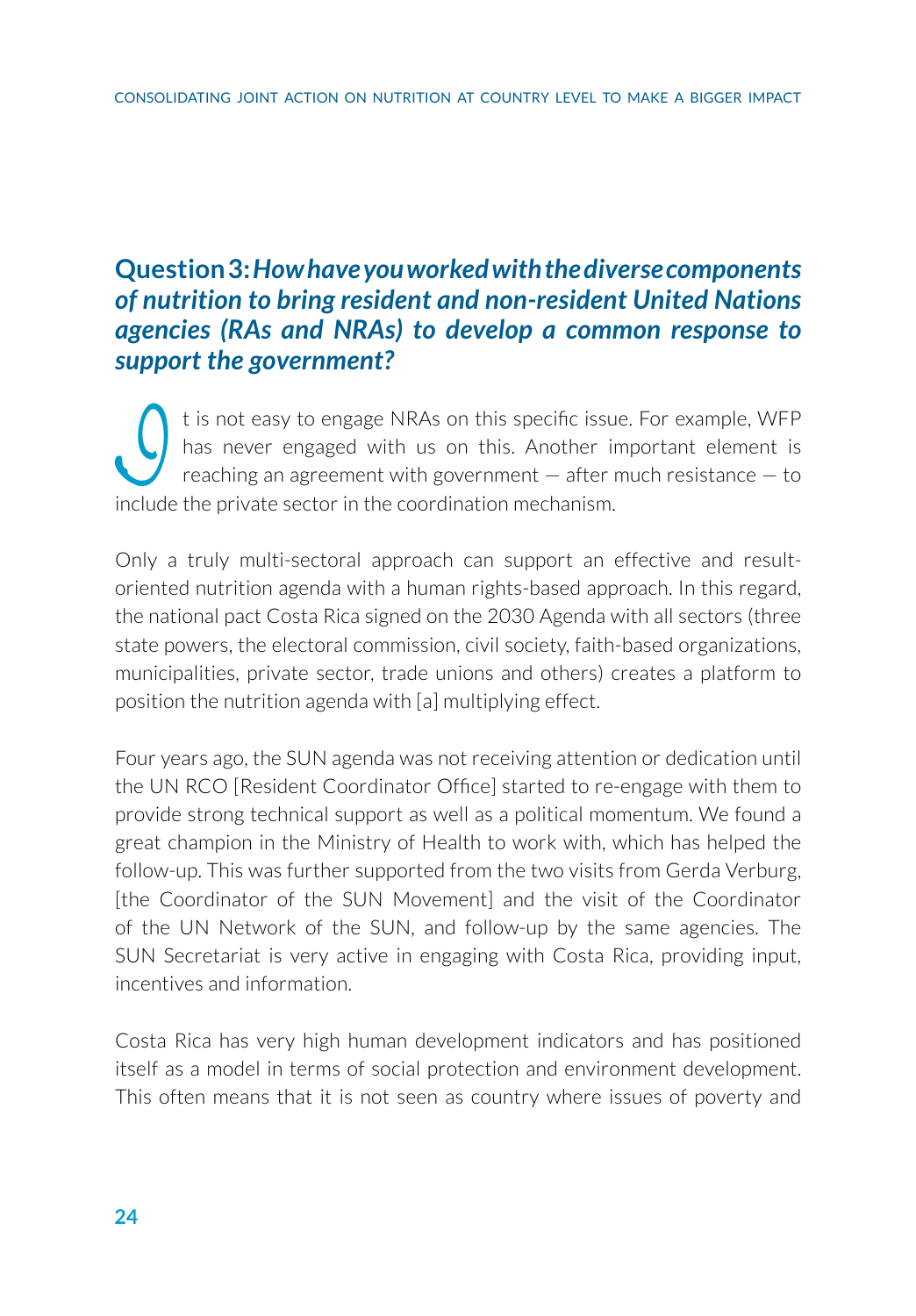# **Question 3:** *How have you worked with the diverse components of nutrition to bring resident and non-resident United Nations agencies (RAs and NRAs) to develop a common response to support the government?*

It is not easy to engage NRAs on this specific issue. For example, WFP has never engaged with us on this. Another important element is reaching an agreement with government – after much resistance – to include the private has never engaged with us on this. Another important element is reaching an agreement with government — after much resistance — to include the private sector in the coordination mechanism.

Only a truly multi-sectoral approach can support an effective and resultoriented nutrition agenda with a human rights-based approach. In this regard, the national pact Costa Rica signed on the 2030 Agenda with all sectors (three state powers, the electoral commission, civil society, faith-based organizations, municipalities, private sector, trade unions and others) creates a platform to position the nutrition agenda with [a] multiplying effect.

Four years ago, the SUN agenda was not receiving attention or dedication until the UN RCO [Resident Coordinator Office] started to re-engage with them to provide strong technical support as well as a political momentum. We found a great champion in the Ministry of Health to work with, which has helped the follow-up. This was further supported from the two visits from Gerda Verburg, [the Coordinator of the SUN Movement] and the visit of the Coordinator of the UN Network of the SUN, and follow-up by the same agencies. The SUN Secretariat is very active in engaging with Costa Rica, providing input, incentives and information.

Costa Rica has very high human development indicators and has positioned itself as a model in terms of social protection and environment development. This often means that it is not seen as country where issues of poverty and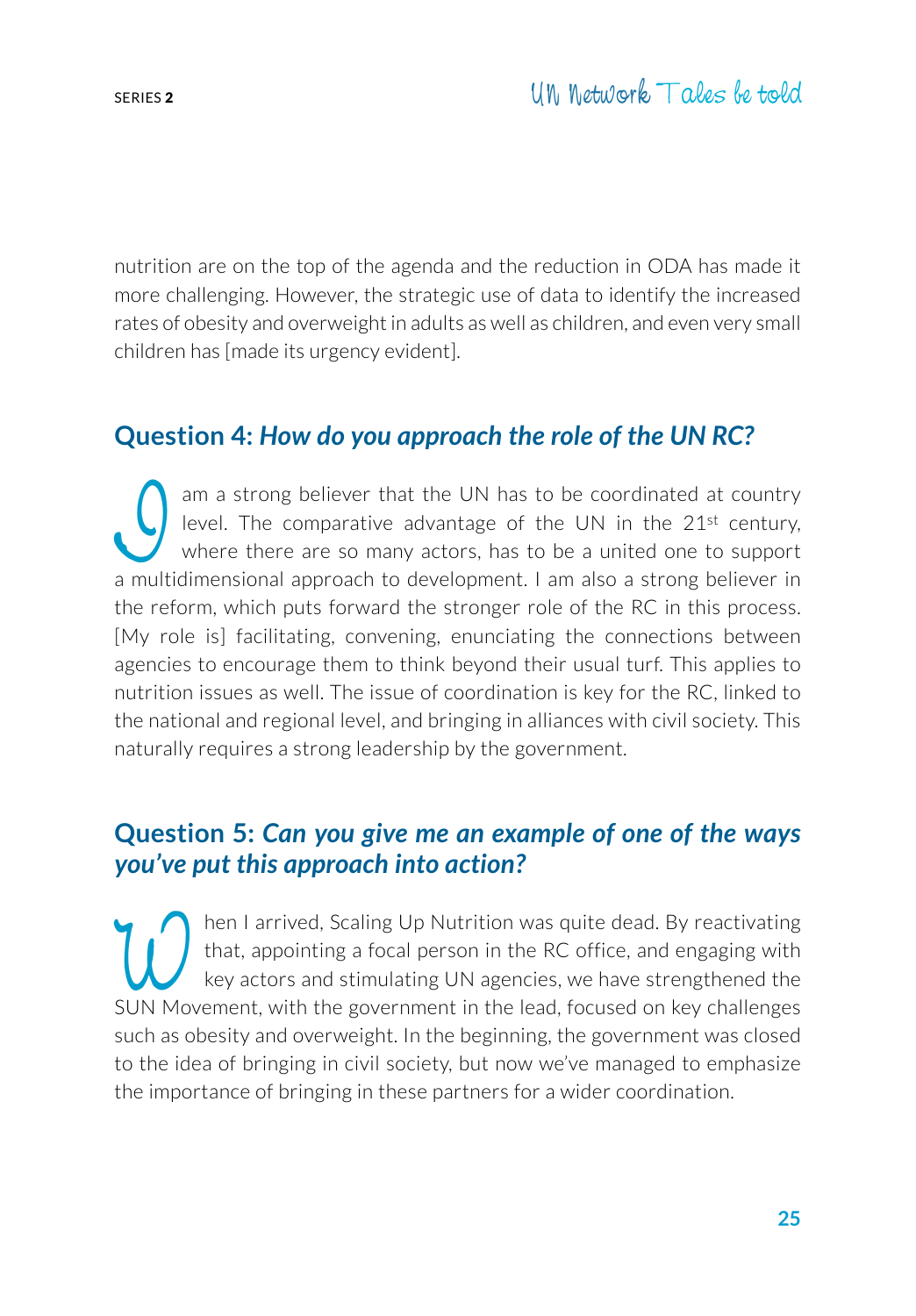nutrition are on the top of the agenda and the reduction in ODA has made it more challenging. However, the strategic use of data to identify the increased rates of obesity and overweight in adults as well as children, and even very small children has [made its urgency evident].

#### **Question 4:** *How do you approach the role of the UN RC?*

am a strong believer that the UN has to be coordinated at country<br>level. The comparative advantage of the UN in the  $21^{st}$  century,<br>where there are so many actors, has to be a united one to support<br>a multidimensional app level. The comparative advantage of the UN in the 21st century, where there are so many actors, has to be a united one to support a multidimensional approach to development. I am also a strong believer in the reform, which puts forward the stronger role of the RC in this process. [My role is] facilitating, convening, enunciating the connections between agencies to encourage them to think beyond their usual turf. This applies to nutrition issues as well. The issue of coordination is key for the RC, linked to the national and regional level, and bringing in alliances with civil society. This naturally requires a strong leadership by the government.

#### **Question 5:** *Can you give me an example of one of the ways you've put this approach into action?*

Then I arrived, Scaling Up Nutrition was quite dead. By reactivating<br>that, appointing a focal person in the RC office, and engaging with<br>key actors and stimulating UN agencies, we have strengthened the<br>SLIN Movement with t that, appointing a focal person in the RC office, and engaging with key actors and stimulating UN agencies, we have strengthened the SUN Movement, with the government in the lead, focused on key challenges such as obesity and overweight. In the beginning, the government was closed to the idea of bringing in civil society, but now we've managed to emphasize the importance of bringing in these partners for a wider coordination.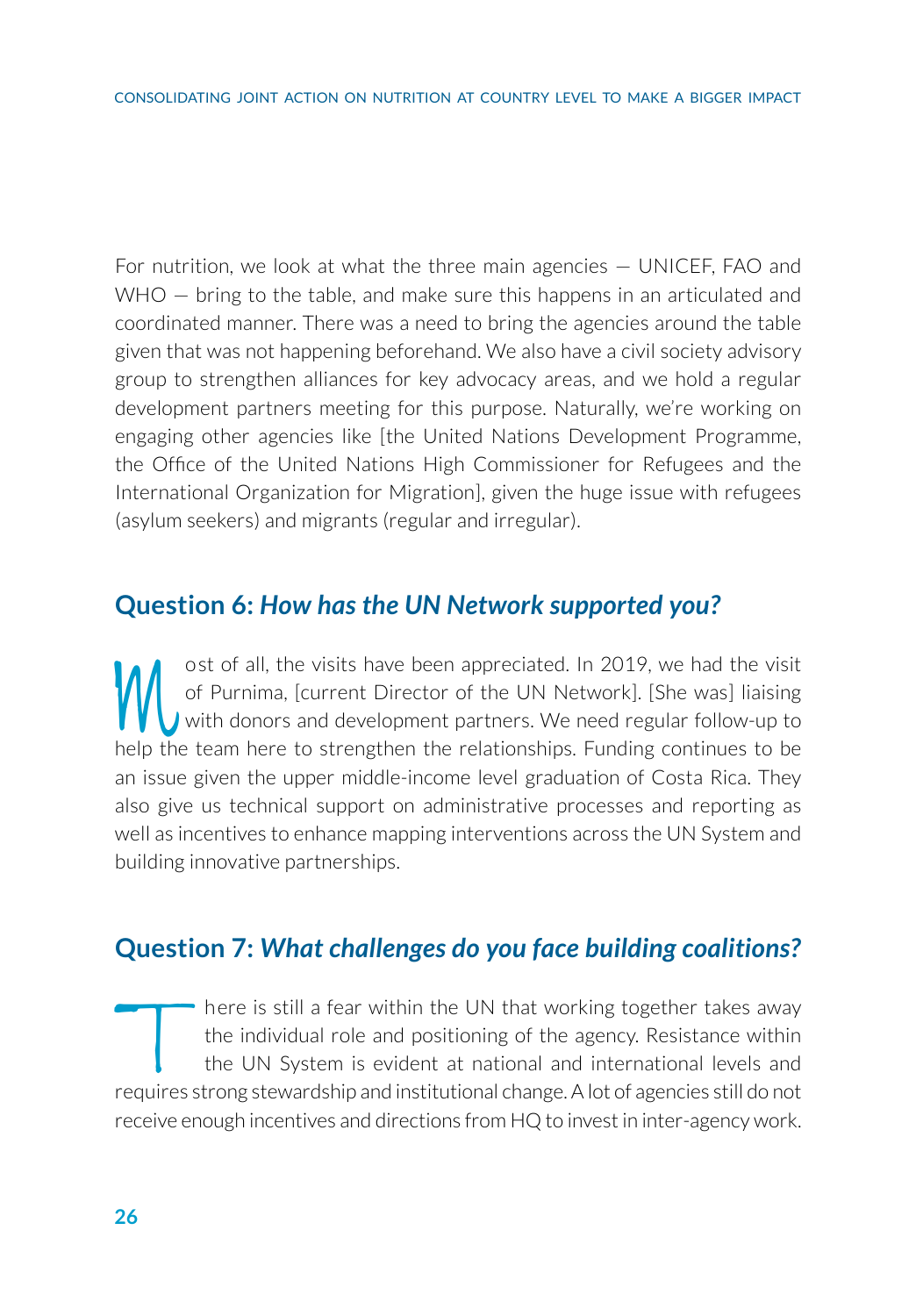For nutrition, we look at what the three main agencies — UNICEF, FAO and WHO – bring to the table, and make sure this happens in an articulated and coordinated manner. There was a need to bring the agencies around the table given that was not happening beforehand. We also have a civil society advisory group to strengthen alliances for key advocacy areas, and we hold a regular development partners meeting for this purpose. Naturally, we're working on engaging other agencies like [the United Nations Development Programme, the Office of the United Nations High Commissioner for Refugees and the International Organization for Migration], given the huge issue with refugees (asylum seekers) and migrants (regular and irregular).

#### **Question 6:** *How has the UN Network supported you?*

ost of all, the visits have been appreciated. In 2019, we had the visit of Purnima, [current Director of the UN Network]. [She was] liaising with donors and development partners. We need regular follow-up to help the team of Purnima, [current Director of the UN Network]. [She was] liaising with donors and development partners. We need regular follow-up to help the team here to strengthen the relationships. Funding continues to be an issue given the upper middle-income level graduation of Costa Rica. They also give us technical support on administrative processes and reporting as well as incentives to enhance mapping interventions across the UN System and building innovative partnerships.

#### **Question 7:** *What challenges do you face building coalitions?*

There is still a fear within the UN that working together takes away<br>the individual role and positioning of the agency. Resistance within<br>the UN System is evident at national and international levels and<br>requires strong st the individual role and positioning of the agency. Resistance within the UN System is evident at national and international levels and requires strong stewardship and institutional change. A lot of agencies still do not receive enough incentives and directions from HQ to invest in inter-agency work.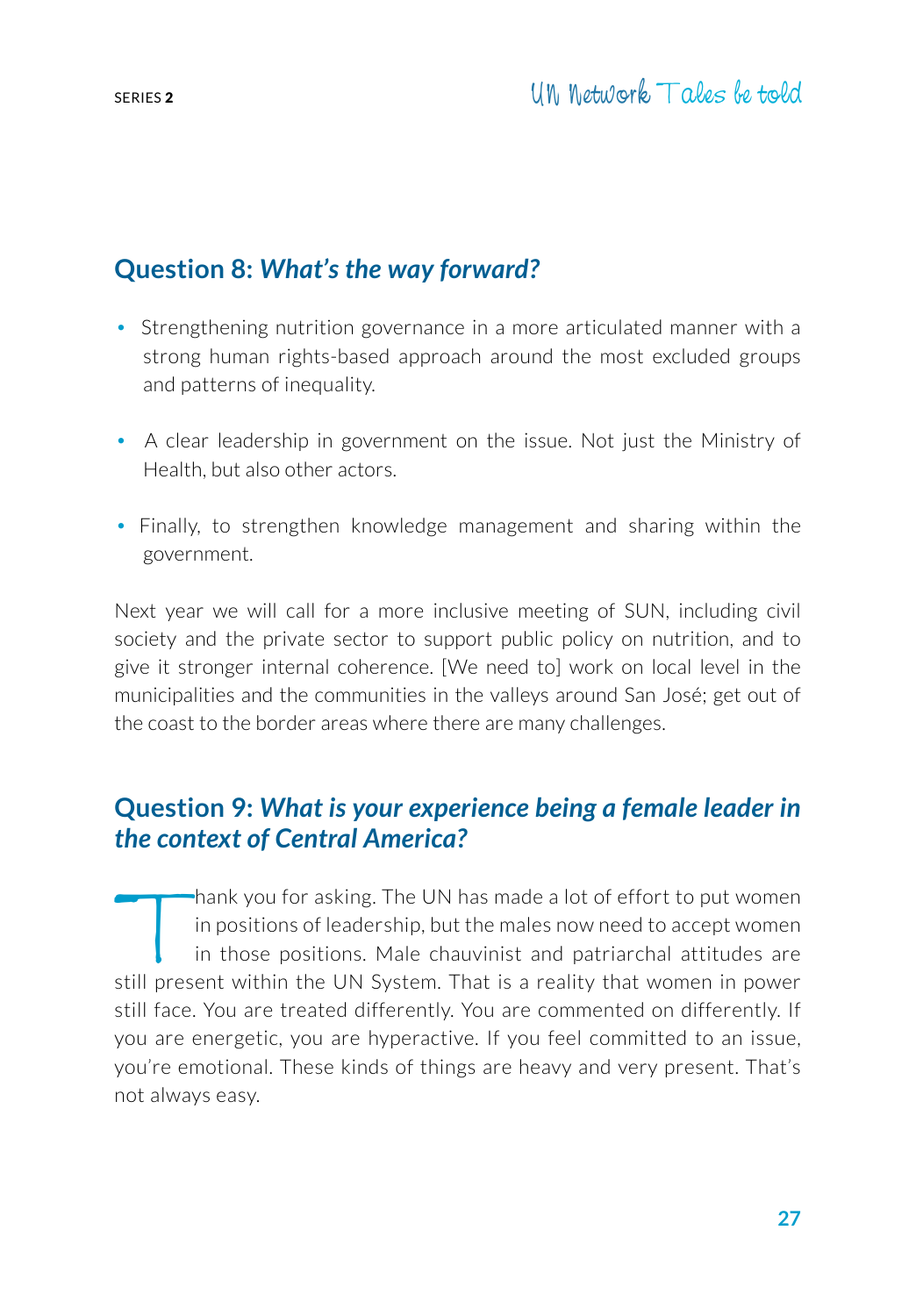# **Question 8:** *What's the way forward?*

- Strengthening nutrition governance in a more articulated manner with a strong human rights-based approach around the most excluded groups and patterns of inequality.
- A clear leadership in government on the issue. Not just the Ministry of Health, but also other actors.
- Finally, to strengthen knowledge management and sharing within the government.

Next year we will call for a more inclusive meeting of SUN, including civil society and the private sector to support public policy on nutrition, and to give it stronger internal coherence. [We need to] work on local level in the municipalities and the communities in the valleys around San José; get out of the coast to the border areas where there are many challenges.

## **Question 9:** *What is your experience being a female leader in the context of Central America?*

Thank you for asking. The UN has made a lot of effort to put women<br>in positions of leadership, but the males now need to accept women<br>in those positions. Male chauvinist and patriarchal attitudes are<br>still present within t in positions of leadership, but the males now need to accept women in those positions. Male chauvinist and patriarchal attitudes are still present within the UN System. That is a reality that women in power still face. You are treated differently. You are commented on differently. If you are energetic, you are hyperactive. If you feel committed to an issue, you're emotional. These kinds of things are heavy and very present. That's not always easy.